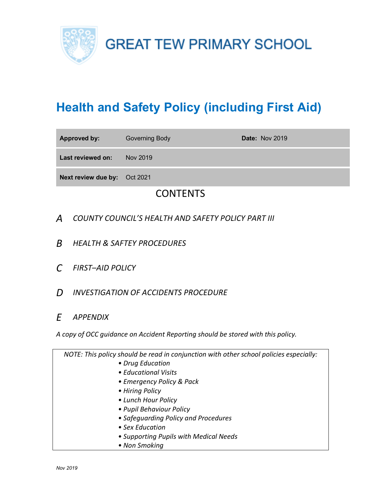

# **Health and Safety Policy (including First Aid)**

| <b>Approved by:</b>          | <b>Governing Body</b> | <b>Date: Nov 2019</b> |
|------------------------------|-----------------------|-----------------------|
| Last reviewed on:            | Nov 2019              |                       |
| Next review due by: Oct 2021 |                       |                       |

# **CONTENTS**

- *A COUNTY COUNCIL'S HEALTH AND SAFETY POLICY PART III*
- *B HEALTH & SAFTEY PROCEDURES*
- *C FIRST–AID POLICY*
- *D INVESTIGATION OF ACCIDENTS PROCEDURE*
- *E APPENDIX*

*A copy of OCC guidance on Accident Reporting should be stored with this policy.*

| NOTE: This policy should be read in conjunction with other school policies especially: |
|----------------------------------------------------------------------------------------|
| • Drug Education                                                                       |
| • Educational Visits                                                                   |
| • Emergency Policy & Pack                                                              |
| • Hiring Policy                                                                        |
| • Lunch Hour Policy                                                                    |
| • Pupil Behaviour Policy                                                               |
| • Safequarding Policy and Procedures                                                   |
| • Sex Education                                                                        |
| • Supporting Pupils with Medical Needs                                                 |
| • Non Smoking                                                                          |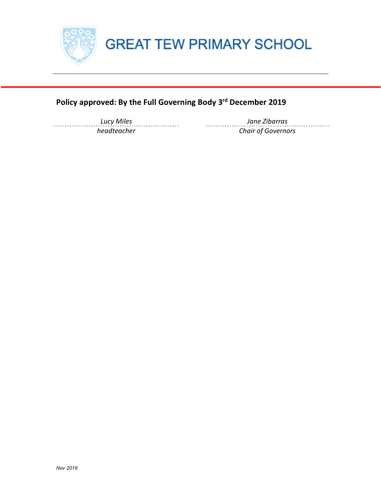

## **Policy approved: By the Full Governing Body 3rd December 2019**

*Lucy Miles Jane Zibarras headteacher Chair of Governors*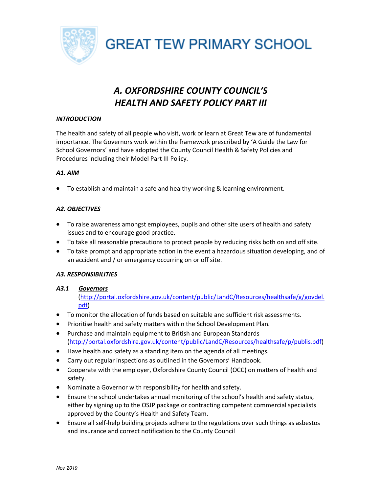

## *A. OXFORDSHIRE COUNTY COUNCIL'S HEALTH AND SAFETY POLICY PART III*

## *INTRODUCTION*

The health and safety of all people who visit, work or learn at Great Tew are of fundamental importance. The Governors work within the framework prescribed by 'A Guide the Law for School Governors' and have adopted the County Council Health & Safety Policies and Procedures including their Model Part III Policy.

## *A1. AIM*

• To establish and maintain a safe and healthy working & learning environment.

## *A2. OBJECTIVES*

- To raise awareness amongst employees, pupils and other site users of health and safety issues and to encourage good practice.
- To take all reasonable precautions to protect people by reducing risks both on and off site.
- To take prompt and appropriate action in the event a hazardous situation developing, and of an accident and / or emergency occurring on or off site.

## *A3. RESPONSIBILITIES*

## *A3.1 Governors*

(http://portal.oxfordshire.gov.uk/content/public/LandC/Resources/healthsafe/g/govdel. pdf)

- To monitor the allocation of funds based on suitable and sufficient risk assessments.
- Prioritise health and safety matters within the School Development Plan.
- Purchase and maintain equipment to British and European Standards (http://portal.oxfordshire.gov.uk/content/public/LandC/Resources/healthsafe/p/publis.pdf)
- Have health and safety as a standing item on the agenda of all meetings.
- Carry out regular inspections as outlined in the Governors' Handbook.
- Cooperate with the employer, Oxfordshire County Council (OCC) on matters of health and safety.
- Nominate a Governor with responsibility for health and safety.
- Ensure the school undertakes annual monitoring of the school's health and safety status, either by signing up to the OSJP package or contracting competent commercial specialists approved by the County's Health and Safety Team.
- Ensure all self-help building projects adhere to the regulations over such things as asbestos and insurance and correct notification to the County Council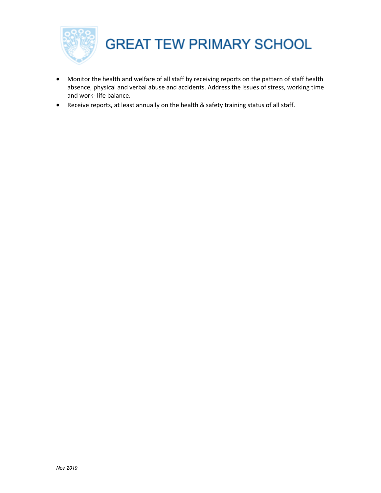

- Monitor the health and welfare of all staff by receiving reports on the pattern of staff health absence, physical and verbal abuse and accidents. Address the issues of stress, working time and work- life balance.
- Receive reports, at least annually on the health & safety training status of all staff.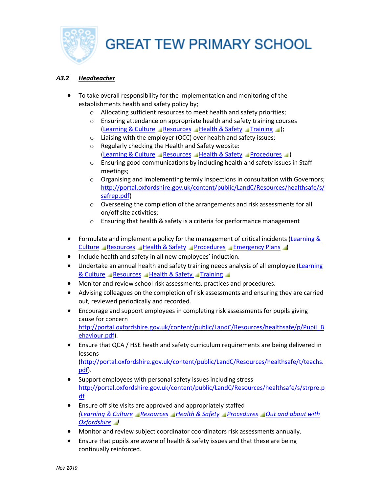

## *A3.2 Headteacher*

- To take overall responsibility for the implementation and monitoring of the establishments health and safety policy by;
	- o Allocating sufficient resources to meet health and safety priorities;
	- o Ensuring attendance on appropriate health and safety training courses (Learning & Culture Resources Health & Safety Training 1);
	- o Liaising with the employer (OCC) over health and safety issues;
	- o Regularly checking the Health and Safety website: (Learning & Culture Resources Health & Safety Procedures )
	- $\circ$  Ensuring good communications by including health and safety issues in Staff meetings;
	- $\circ$  Organising and implementing termly inspections in consultation with Governors; http://portal.oxfordshire.gov.uk/content/public/LandC/Resources/healthsafe/s/ safrep.pdf)
	- o Overseeing the completion of the arrangements and risk assessments for all on/off site activities;
	- o Ensuring that health & safety is a criteria for performance management
- Formulate and implement a policy for the management of critical incidents (Learning & Culture Resources Health & Safety Procedures Emergency Plans
- Include health and safety in all new employees' induction.
- Undertake an annual health and safety training needs analysis of all employee (Learning & Culture Resources Health & Safety Training
- Monitor and review school risk assessments, practices and procedures.
- Advising colleagues on the completion of risk assessments and ensuring they are carried out, reviewed periodically and recorded.
- Encourage and support employees in completing risk assessments for pupils giving cause for concern http://portal.oxfordshire.gov.uk/content/public/LandC/Resources/healthsafe/p/Pupil\_B ehaviour.pdf).
- Ensure that QCA / HSE heath and safety curriculum requirements are being delivered in lessons

(http://portal.oxfordshire.gov.uk/content/public/LandC/Resources/healthsafe/t/teachs. pdf).

- Support employees with personal safety issues including stress http://portal.oxfordshire.gov.uk/content/public/LandC/Resources/healthsafe/s/strpre.p df
- Ensure off site visits are approved and appropriately staffed *(Learning & Culture Resources Health & Safety Procedures Out and about with Oxfordshire )*
- Monitor and review subject coordinator coordinators risk assessments annually.
- Ensure that pupils are aware of health & safety issues and that these are being continually reinforced.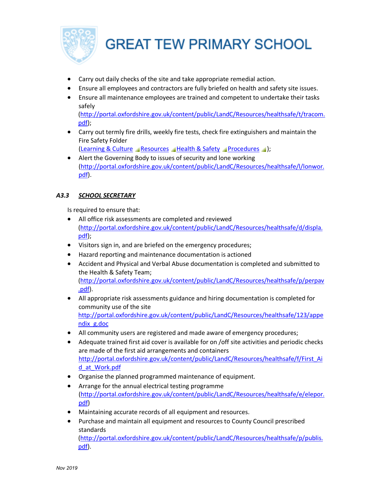

- Carry out daily checks of the site and take appropriate remedial action.
- Ensure all employees and contractors are fully briefed on health and safety site issues.
- Ensure all maintenance employees are trained and competent to undertake their tasks safely (http://portal.oxfordshire.gov.uk/content/public/LandC/Resources/healthsafe/t/tracom. pdf);
- Carry out termly fire drills, weekly fire tests, check fire extinguishers and maintain the Fire Safety Folder

(Learning & Culture Resources Health & Safety Procedures );

• Alert the Governing Body to issues of security and lone working (http://portal.oxfordshire.gov.uk/content/public/LandC/Resources/healthsafe/l/lonwor. pdf).

## *A3.3 SCHOOL SECRETARY*

Is required to ensure that:

- All office risk assessments are completed and reviewed (http://portal.oxfordshire.gov.uk/content/public/LandC/Resources/healthsafe/d/displa. pdf);
- Visitors sign in, and are briefed on the emergency procedures;
- Hazard reporting and maintenance documentation is actioned
- Accident and Physical and Verbal Abuse documentation is completed and submitted to the Health & Safety Team; (http://portal.oxfordshire.gov.uk/content/public/LandC/Resources/healthsafe/p/perpav .pdf).
- All appropriate risk assessments guidance and hiring documentation is completed for community use of the site http://portal.oxfordshire.gov.uk/content/public/LandC/Resources/healthsafe/123/appe ndix\_g.doc
- All community users are registered and made aware of emergency procedures;
- Adequate trained first aid cover is available for on /off site activities and periodic checks are made of the first aid arrangements and containers http://portal.oxfordshire.gov.uk/content/public/LandC/Resources/healthsafe/f/First\_Ai d\_at\_Work.pdf
- Organise the planned programmed maintenance of equipment.
- Arrange for the annual electrical testing programme (http://portal.oxfordshire.gov.uk/content/public/LandC/Resources/healthsafe/e/elepor. pdf)
- Maintaining accurate records of all equipment and resources.
- Purchase and maintain all equipment and resources to County Council prescribed standards (http://portal.oxfordshire.gov.uk/content/public/LandC/Resources/healthsafe/p/publis. pdf).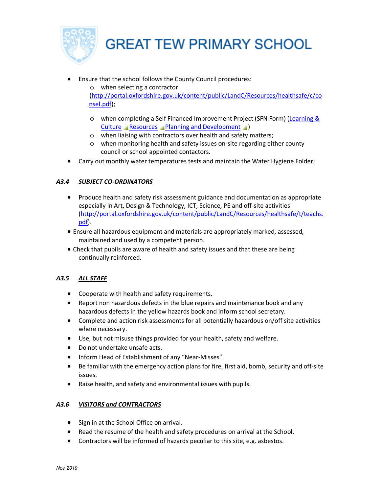

- Ensure that the school follows the County Council procedures:
	- o when selecting a contractor (http://portal.oxfordshire.gov.uk/content/public/LandC/Resources/healthsafe/c/co nsel.pdf);
		- o when completing a Self Financed Improvement Project (SFN Form) (Learning & Culture Resources Planning and Development )
		- o when liaising with contractors over health and safety matters;
		- o when monitoring health and safety issues on-site regarding either county council or school appointed contactors.
- Carry out monthly water temperatures tests and maintain the Water Hygiene Folder;

## *A3.4 SUBJECT CO-ORDINATORS*

- Produce health and safety risk assessment guidance and documentation as appropriate especially in Art, Design & Technology, ICT, Science, PE and off-site activities (http://portal.oxfordshire.gov.uk/content/public/LandC/Resources/healthsafe/t/teachs. pdf).
- Ensure all hazardous equipment and materials are appropriately marked, assessed, maintained and used by a competent person.
- Check that pupils are aware of health and safety issues and that these are being continually reinforced.

## *A3.5 ALL STAFF*

- Cooperate with health and safety requirements.
- Report non hazardous defects in the blue repairs and maintenance book and any hazardous defects in the yellow hazards book and inform school secretary.
- Complete and action risk assessments for all potentially hazardous on/off site activities where necessary.
- Use, but not misuse things provided for your health, safety and welfare.
- Do not undertake unsafe acts.
- Inform Head of Establishment of any "Near-Misses".
- Be familiar with the emergency action plans for fire, first aid, bomb, security and off-site issues.
- Raise health, and safety and environmental issues with pupils.

## *A3.6 VISITORS and CONTRACTORS*

- Sign in at the School Office on arrival.
- Read the resume of the health and safety procedures on arrival at the School.
- Contractors will be informed of hazards peculiar to this site, e.g. asbestos.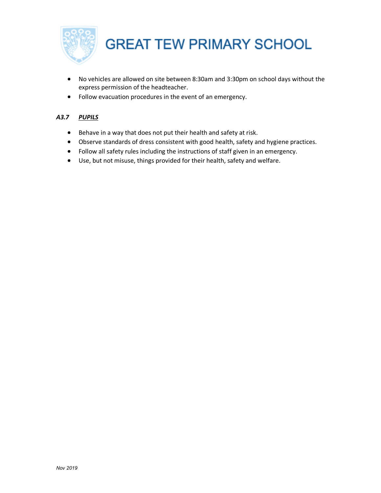

- No vehicles are allowed on site between 8:30am and 3:30pm on school days without the express permission of the headteacher.
- Follow evacuation procedures in the event of an emergency.

## *A3.7 PUPILS*

- Behave in a way that does not put their health and safety at risk.
- Observe standards of dress consistent with good health, safety and hygiene practices.
- Follow all safety rules including the instructions of staff given in an emergency.
- Use, but not misuse, things provided for their health, safety and welfare.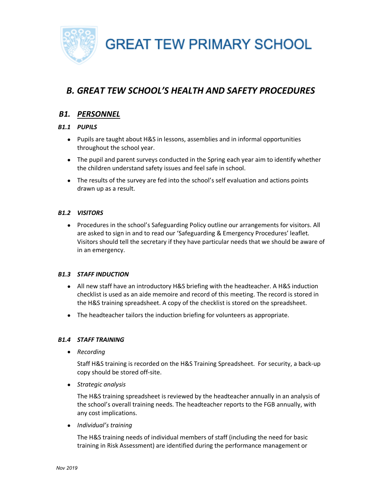

## *B. GREAT TEW SCHOOL'S HEALTH AND SAFETY PROCEDURES*

## *B1. PERSONNEL*

## *B1.1 PUPILS*

- Pupils are taught about H&S in lessons, assemblies and in informal opportunities throughout the school year.
- The pupil and parent surveys conducted in the Spring each year aim to identify whether the children understand safety issues and feel safe in school.
- The results of the survey are fed into the school's self evaluation and actions points drawn up as a result.

## *B1.2 VISITORS*

• Procedures in the school's Safeguarding Policy outline our arrangements for visitors. All are asked to sign in and to read our 'Safeguarding & Emergency Procedures' leaflet. Visitors should tell the secretary if they have particular needs that we should be aware of in an emergency.

## *B1.3 STAFF INDUCTION*

- All new staff have an introductory H&S briefing with the headteacher. A H&S induction checklist is used as an aide memoire and record of this meeting. The record is stored in the H&S training spreadsheet. A copy of the checklist is stored on the spreadsheet.
- The headteacher tailors the induction briefing for volunteers as appropriate.

## *B1.4 STAFF TRAINING*

• *Recording*

Staff H&S training is recorded on the H&S Training Spreadsheet. For security, a back-up copy should be stored off-site.

• *Strategic analysis*

The H&S training spreadsheet is reviewed by the headteacher annually in an analysis of the school's overall training needs. The headteacher reports to the FGB annually, with any cost implications.

• *Individual's training*

The H&S training needs of individual members of staff (including the need for basic training in Risk Assessment) are identified during the performance management or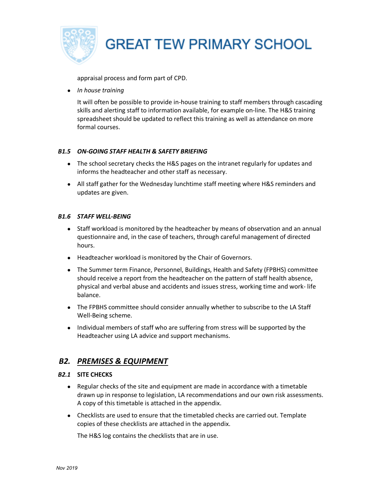

appraisal process and form part of CPD.

• *In house training*

It will often be possible to provide in-house training to staff members through cascading skills and alerting staff to information available, for example on-line. The H&S training spreadsheet should be updated to reflect this training as well as attendance on more formal courses.

## *B1.5 ON-GOING STAFF HEALTH & SAFETY BRIEFING*

- The school secretary checks the H&S pages on the intranet regularly for updates and informs the headteacher and other staff as necessary.
- All staff gather for the Wednesday lunchtime staff meeting where H&S reminders and updates are given.

## *B1.6 STAFF WELL-BEING*

- Staff workload is monitored by the headteacher by means of observation and an annual questionnaire and, in the case of teachers, through careful management of directed hours.
- Headteacher workload is monitored by the Chair of Governors.
- The Summer term Finance, Personnel, Buildings, Health and Safety (FPBHS) committee should receive a report from the headteacher on the pattern of staff health absence, physical and verbal abuse and accidents and issues stress, working time and work- life balance.
- The FPBHS committee should consider annually whether to subscribe to the LA Staff Well-Being scheme.
- Individual members of staff who are suffering from stress will be supported by the Headteacher using LA advice and support mechanisms.

## *B2. PREMISES & EQUIPMENT*

## *B2.1* **SITE CHECKS**

- Regular checks of the site and equipment are made in accordance with a timetable drawn up in response to legislation, LA recommendations and our own risk assessments. A copy of this timetable is attached in the appendix.
- Checklists are used to ensure that the timetabled checks are carried out. Template copies of these checklists are attached in the appendix.

The H&S log contains the checklists that are in use.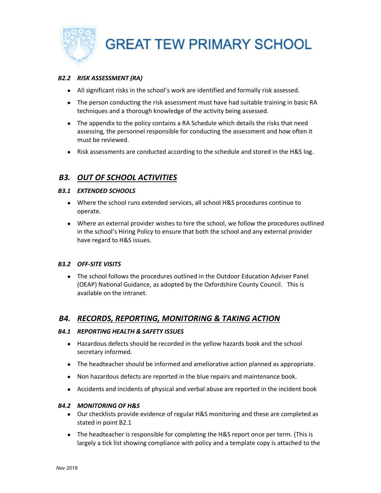

## *B2.2 RISK ASSESSMENT (RA)*

- All significant risks in the school's work are identified and formally risk assessed.
- The person conducting the risk assessment must have had suitable training in basic RA techniques and a thorough knowledge of the activity being assessed.
- The appendix to the policy contains a RA Schedule which details the risks that need assessing, the personnel responsible for conducting the assessment and how often it must be reviewed.
- Risk assessments are conducted according to the schedule and stored in the H&S log.

## *B3. OUT OF SCHOOL ACTIVITIES*

#### *B3.1 EXTENDED SCHOOLS*

- Where the school runs extended services, all school H&S procedures continue to operate.
- Where an external provider wishes to hire the school, we follow the procedures outlined in the school's Hiring Policy to ensure that both the school and any external provider have regard to H&S issues.

#### *B3.2 OFF-SITE VISITS*

• The school follows the procedures outlined in the Outdoor Education Adviser Panel (OEAP) National Guidance, as adopted by the Oxfordshire County Council. This is available on the intranet.

## *B4. RECORDS, REPORTING, MONITORING & TAKING ACTION*

#### *B4.1 REPORTING HEALTH & SAFETY ISSUES*

- Hazardous defects should be recorded in the yellow hazards book and the school secretary informed.
- The headteacher should be informed and ameliorative action planned as appropriate.
- Non hazardous defects are reported in the blue repairs and maintenance book.
- Accidents and incidents of physical and verbal abuse are reported in the incident book

#### *B4.2 MONITORING OF H&S*

- Our checklists provide evidence of regular H&S monitoring and these are completed as stated in point B2.1
- The headteacher is responsible for completing the H&S report once per term. (This is largely a tick list showing compliance with policy and a template copy is attached to the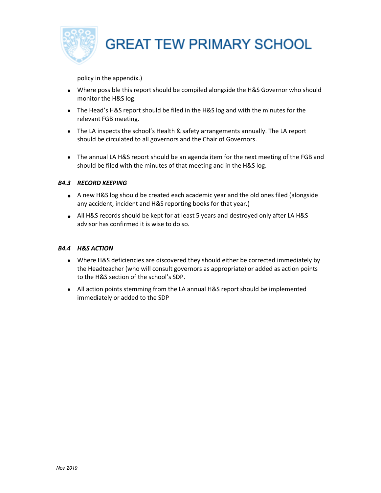

policy in the appendix.)

- Where possible this report should be compiled alongside the H&S Governor who should monitor the H&S log.
- The Head's H&S report should be filed in the H&S log and with the minutes for the relevant FGB meeting.
- The LA inspects the school's Health & safety arrangements annually. The LA report should be circulated to all governors and the Chair of Governors.
- The annual LA H&S report should be an agenda item for the next meeting of the FGB and should be filed with the minutes of that meeting and in the H&S log.

## *B4.3 RECORD KEEPING*

- A new H&S log should be created each academic year and the old ones filed (alongside any accident, incident and H&S reporting books for that year.)
- All H&S records should be kept for at least 5 years and destroyed only after LA H&S advisor has confirmed it is wise to do so.

## *B4.4 H&S ACTION*

- Where H&S deficiencies are discovered they should either be corrected immediately by the Headteacher (who will consult governors as appropriate) or added as action points to the H&S section of the school's SDP.
- All action points stemming from the LA annual H&S report should be implemented immediately or added to the SDP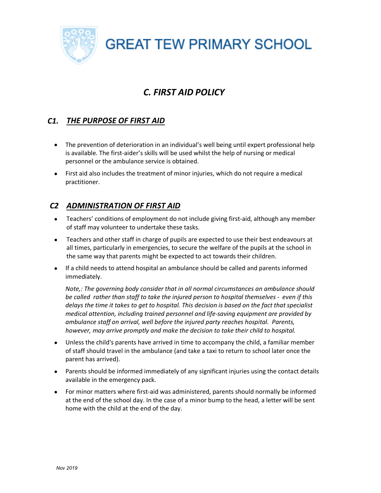# *C. FIRST AID POLICY*

## *C1. THE PURPOSE OF FIRST AID*

- The prevention of deterioration in an individual's well being until expert professional help is available. The first-aider's skills will be used whilst the help of nursing or medical personnel or the ambulance service is obtained.
- First aid also includes the treatment of minor injuries, which do not require a medical practitioner.

## *C2 ADMINISTRATION OF FIRST AID*

- Teachers' conditions of employment do not include giving first-aid, although any member of staff may volunteer to undertake these tasks.
- Teachers and other staff in charge of pupils are expected to use their best endeavours at all times, particularly in emergencies, to secure the welfare of the pupils at the school in the same way that parents might be expected to act towards their children.
- If a child needs to attend hospital an ambulance should be called and parents informed immediately.

*Note,: The governing body consider that in all normal circumstances an ambulance should be called rather than staff to take the injured person to hospital themselves - even if this delays the time it takes to get to hospital. This decision is based on the fact that specialist medical attention, including trained personnel and life-saving equipment are provided by ambulance staff on arrival, well before the injured party reaches hospital. Parents, however, may arrive promptly and make the decision to take their child to hospital.* 

- Unless the child's parents have arrived in time to accompany the child, a familiar member of staff should travel in the ambulance (and take a taxi to return to school later once the parent has arrived).
- Parents should be informed immediately of any significant injuries using the contact details available in the emergency pack.
- For minor matters where first-aid was administered, parents should normally be informed at the end of the school day. In the case of a minor bump to the head, a letter will be sent home with the child at the end of the day.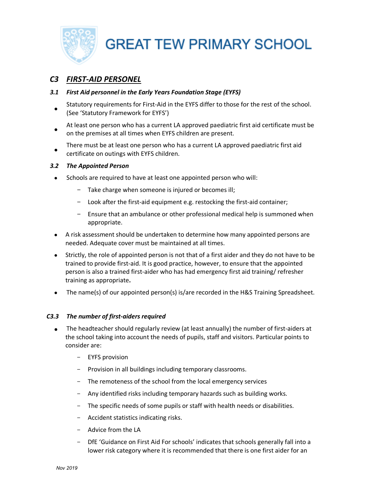

## *C3 FIRST-AID PERSONEL*

## *3.1 First Aid personnel in the Early Years Foundation Stage (EYFS)*

- Statutory requirements for First-Aid in the EYFS differ to those for the rest of the school. (See 'Statutory Framework for EYFS')
- At least one person who has a current LA approved paediatric first aid certificate must be on the premises at all times when EYFS children are present.
- There must be at least one person who has a current LA approved paediatric first aid certificate on outings with EYFS children.

## *3.2 The Appointed Person*

- Schools are required to have at least one appointed person who will:
	- Take charge when someone is injured or becomes ill;
	- Look after the first-aid equipment e.g. restocking the first-aid container;
	- Ensure that an ambulance or other professional medical help is summoned when appropriate.
- A risk assessment should be undertaken to determine how many appointed persons are needed. Adequate cover must be maintained at all times.
- Strictly, the role of appointed person is not that of a first aider and they do not have to be trained to provide first-aid. It is good practice, however, to ensure that the appointed person is also a trained first-aider who has had emergency first aid training/ refresher training as appropriate**.**
- The name(s) of our appointed person(s) is/are recorded in the H&S Training Spreadsheet.

## *C3.3 The number of first-aiders required*

- The headteacher should regularly review (at least annually) the number of first-aiders at the school taking into account the needs of pupils, staff and visitors. Particular points to consider are:
	- EYFS provision
	- Provision in all buildings including temporary classrooms.
	- The remoteness of the school from the local emergency services
	- Any identified risks including temporary hazards such as building works.
	- The specific needs of some pupils or staff with health needs or disabilities.
	- Accident statistics indicating risks.
	- Advice from the LA
	- DfE 'Guidance on First Aid For schools' indicates that schools generally fall into a lower risk category where it is recommended that there is one first aider for an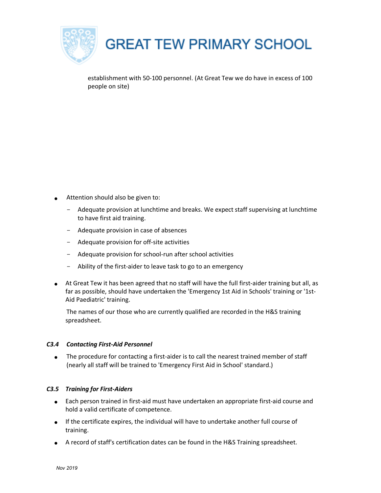

establishment with 50-100 personnel. (At Great Tew we do have in excess of 100 people on site)

- Attention should also be given to:
	- Adequate provision at lunchtime and breaks. We expect staff supervising at lunchtime to have first aid training.
	- Adequate provision in case of absences
	- Adequate provision for off-site activities
	- Adequate provision for school-run after school activities
	- Ability of the first-aider to leave task to go to an emergency
- At Great Tew it has been agreed that no staff will have the full first-aider training but all, as far as possible, should have undertaken the 'Emergency 1st Aid in Schools' training or '1st-Aid Paediatric' training.

The names of our those who are currently qualified are recorded in the H&S training spreadsheet.

## *C3.4 Contacting First-Aid Personnel*

• The procedure for contacting a first-aider is to call the nearest trained member of staff (nearly all staff will be trained to 'Emergency First Aid in School' standard.)

## *C3.5 Training for First-Aiders*

- Each person trained in first-aid must have undertaken an appropriate first-aid course and hold a valid certificate of competence.
- If the certificate expires, the individual will have to undertake another full course of training.
- A record of staff's certification dates can be found in the H&S Training spreadsheet.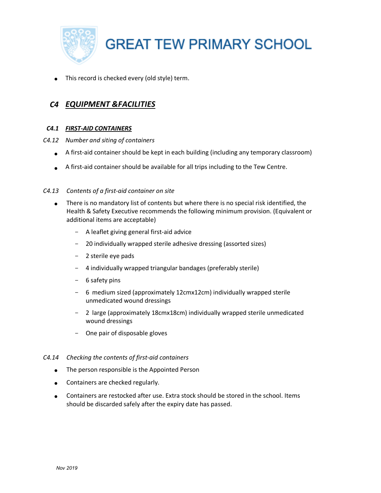

This record is checked every (old style) term.

## *C4 EQUIPMENT &FACILITIES*

## *C4.1 FIRST-AID CONTAINERS*

- *C4.12 Number and siting of containers*
	- A first-aid container should be kept in each building (including any temporary classroom)
	- A first-aid container should be available for all trips including to the Tew Centre.

## *C4.13 Contents of a first-aid container on site*

- There is no mandatory list of contents but where there is no special risk identified, the Health & Safety Executive recommends the following minimum provision. (Equivalent or additional items are acceptable)
	- A leaflet giving general first-aid advice
	- 20 individually wrapped sterile adhesive dressing (assorted sizes)
	- 2 sterile eye pads
	- 4 individually wrapped triangular bandages (preferably sterile)
	- 6 safety pins
	- 6 medium sized (approximately 12cmx12cm) individually wrapped sterile unmedicated wound dressings
	- 2 large (approximately 18cmx18cm) individually wrapped sterile unmedicated wound dressings
	- One pair of disposable gloves

## *C4.14 Checking the contents of first-aid containers*

- The person responsible is the Appointed Person
- Containers are checked regularly.
- Containers are restocked after use. Extra stock should be stored in the school. Items should be discarded safely after the expiry date has passed.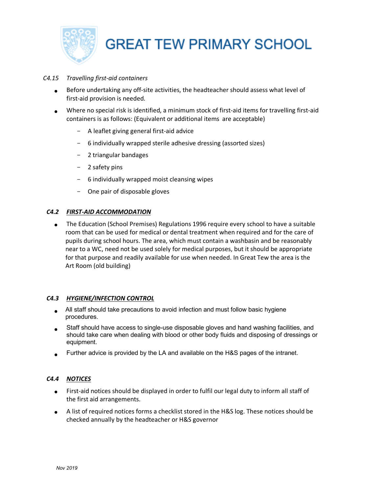

#### *C4.15 Travelling first-aid containers*

- Before undertaking any off-site activities, the headteacher should assess what level of first-aid provision is needed.
- Where no special risk is identified, a minimum stock of first-aid items for travelling first-aid containers is as follows: (Equivalent or additional items are acceptable)
	- A leaflet giving general first-aid advice
	- 6 individually wrapped sterile adhesive dressing (assorted sizes)
	- 2 triangular bandages
	- 2 safety pins
	- 6 individually wrapped moist cleansing wipes
	- One pair of disposable gloves

#### *C4.2 FIRST-AID ACCOMMODATION*

• The Education (School Premises) Regulations 1996 require every school to have a suitable room that can be used for medical or dental treatment when required and for the care of pupils during school hours. The area, which must contain a washbasin and be reasonably near to a WC, need not be used solely for medical purposes, but it should be appropriate for that purpose and readily available for use when needed. In Great Tew the area is the Art Room (old building)

#### *C4.3 HYGIENE/INFECTION CONTROL*

- All staff should take precautions to avoid infection and must follow basic hygiene procedures.
- Staff should have access to single-use disposable gloves and hand washing facilities, and should take care when dealing with blood or other body fluids and disposing of dressings or equipment.
- Further advice is provided by the LA and available on the H&S pages of the intranet.

## *C4.4 NOTICES*

- First-aid notices should be displayed in order to fulfil our legal duty to inform all staff of the first aid arrangements.
- A list of required notices forms a checklist stored in the H&S log. These notices should be checked annually by the headteacher or H&S governor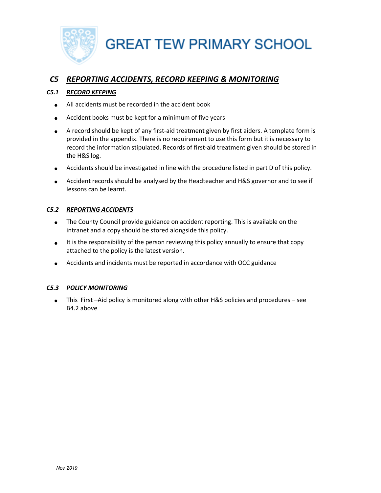

## *C5 REPORTING ACCIDENTS, RECORD KEEPING & MONITORING*

## *C5.1 RECORD KEEPING*

- All accidents must be recorded in the accident book
- Accident books must be kept for a minimum of five years
- A record should be kept of any first-aid treatment given by first aiders. A template form is provided in the appendix. There is no requirement to use this form but it is necessary to record the information stipulated. Records of first-aid treatment given should be stored in the H&S log.
- Accidents should be investigated in line with the procedure listed in part D of this policy.
- Accident records should be analysed by the Headteacher and H&S governor and to see if lessons can be learnt.

## *C5.2 REPORTING ACCIDENTS*

- The County Council provide guidance on accident reporting. This is available on the intranet and a copy should be stored alongside this policy.
- It is the responsibility of the person reviewing this policy annually to ensure that copy attached to the policy is the latest version.
- Accidents and incidents must be reported in accordance with OCC guidance

## *C5.3 POLICY MONITORING*

• This First –Aid policy is monitored along with other H&S policies and procedures – see B4.2 above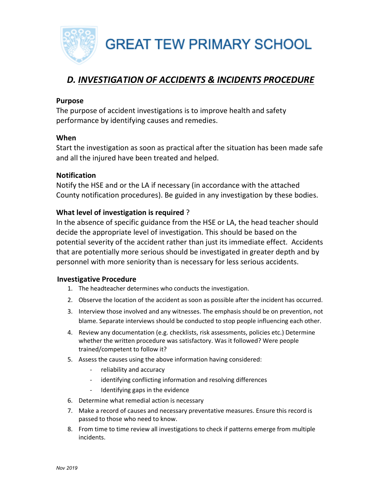

# *D. INVESTIGATION OF ACCIDENTS & INCIDENTS PROCEDURE*

## **Purpose**

The purpose of accident investigations is to improve health and safety performance by identifying causes and remedies.

## **When**

Start the investigation as soon as practical after the situation has been made safe and all the injured have been treated and helped.

## **Notification**

Notify the HSE and or the LA if necessary (in accordance with the attached County notification procedures). Be guided in any investigation by these bodies.

## **What level of investigation is required** ?

In the absence of specific guidance from the HSE or LA, the head teacher should decide the appropriate level of investigation. This should be based on the potential severity of the accident rather than just its immediate effect. Accidents that are potentially more serious should be investigated in greater depth and by personnel with more seniority than is necessary for less serious accidents.

## **Investigative Procedure**

- 1. The headteacher determines who conducts the investigation.
- 2. Observe the location of the accident as soon as possible after the incident has occurred.
- 3. Interview those involved and any witnesses. The emphasis should be on prevention, not blame. Separate interviews should be conducted to stop people influencing each other.
- 4. Review any documentation (e.g. checklists, risk assessments, policies etc.) Determine whether the written procedure was satisfactory. Was it followed? Were people trained/competent to follow it?
- 5. Assess the causes using the above information having considered:
	- reliability and accuracy
	- identifying conflicting information and resolving differences
	- Identifying gaps in the evidence
- 6. Determine what remedial action is necessary
- 7. Make a record of causes and necessary preventative measures. Ensure this record is passed to those who need to know.
- 8. From time to time review all investigations to check if patterns emerge from multiple incidents.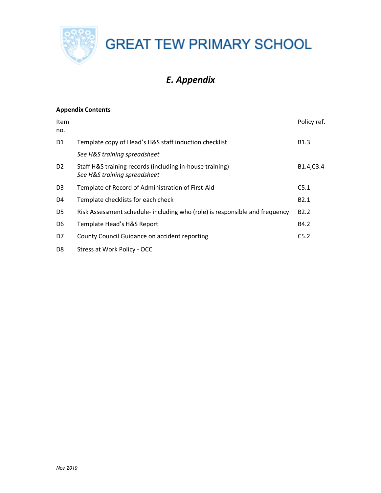

# *E. Appendix*

## **Appendix Contents**

| Item<br>no.    |                                                                                          | Policy ref.      |
|----------------|------------------------------------------------------------------------------------------|------------------|
| D1             | Template copy of Head's H&S staff induction checklist                                    | B <sub>1.3</sub> |
|                | See H&S training spreadsheet                                                             |                  |
| D <sub>2</sub> | Staff H&S training records (including in-house training)<br>See H&S training spreadsheet | B1.4, C3.4       |
| D <sub>3</sub> | Template of Record of Administration of First-Aid                                        | C5.1             |
| D4             | Template checklists for each check                                                       | B <sub>2.1</sub> |
| D <sub>5</sub> | Risk Assessment schedule- including who (role) is responsible and frequency              | B <sub>2.2</sub> |
| D <sub>6</sub> | Template Head's H&S Report                                                               | B4.2             |
| D7             | County Council Guidance on accident reporting                                            | C5.2             |
| D <sub>8</sub> | Stress at Work Policy - OCC                                                              |                  |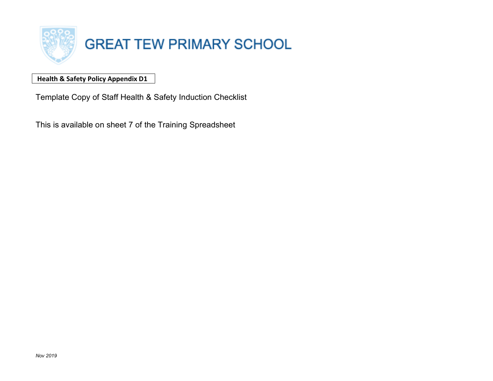

## **Health & Safety Policy Appendix D1**

Template Copy of Staff Health & Safety Induction Checklist

This is available on sheet 7 of the Training Spreadsheet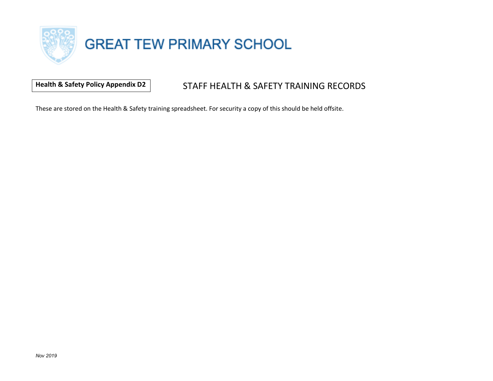

## **Health & Safety Policy Appendix D2** STAFF HEALTH & SAFETY TRAINING RECORDS

These are stored on the Health & Safety training spreadsheet. For security a copy of this should be held offsite.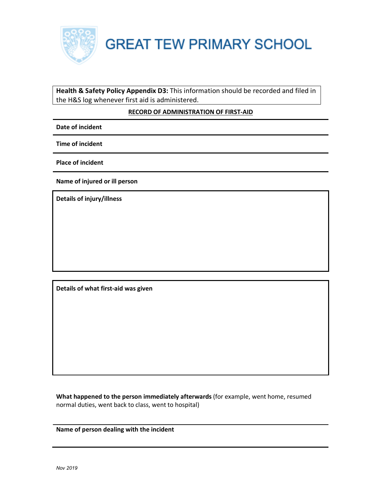

## **Health & Safety Policy Appendix D3:** This information should be recorded and filed in the H&S log whenever first aid is administered.

## **RECORD OF ADMINISTRATION OF FIRST-AID**

**Date of incident**

**Time of incident**

**Place of incident**

**Name of injured or ill person**

**Details of injury/illness**

**Details of what first-aid was given**

**What happened to the person immediately afterwards** (for example, went home, resumed normal duties, went back to class, went to hospital)

**Name of person dealing with the incident**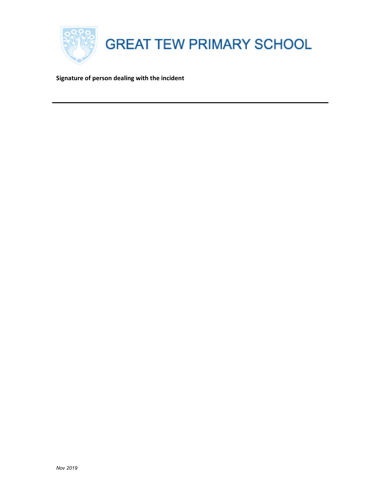

**Signature of person dealing with the incident**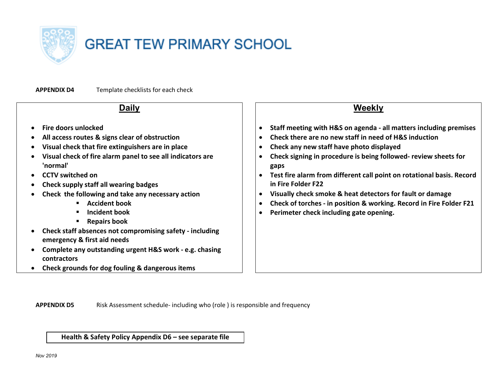

**APPENDIX D4** Template checklists for each check

#### **Daily** • **Fire doors unlocked** • **All access routes & signs clear of obstruction** • **Visual check that fire extinguishers are in place** • **Visual check of fire alarm panel to see all indicators are 'normal'** • **CCTV switched on** • **Check supply staff all wearing badges** • **Check the following and take any necessary action** § **Accident book** § **Incident book** § **Repairs book** • **Check staff absences not compromising safety - including emergency & first aid needs** • **Complete any outstanding urgent H&S work - e.g. chasing contractors Weekly** • **Staff meeting with H&S on agenda - all matters including premises**  • **Check there are no new staff in need of H&S induction** • **Check any new staff have photo displayed** • **Check signing in procedure is being followed- review sheets for gaps** • **Test fire alarm from different call point on rotational basis. Record in Fire Folder F22** • **Visually check smoke & heat detectors for fault or damage** • **Check of torches - in position & working. Record in Fire Folder F21** • **Perimeter check including gate opening.**

• **Check grounds for dog fouling & dangerous items**

**APPENDIX D5** Risk Assessment schedule- including who (role ) is responsible and frequency

**Health & Safety Policy Appendix D6 – see separate file**